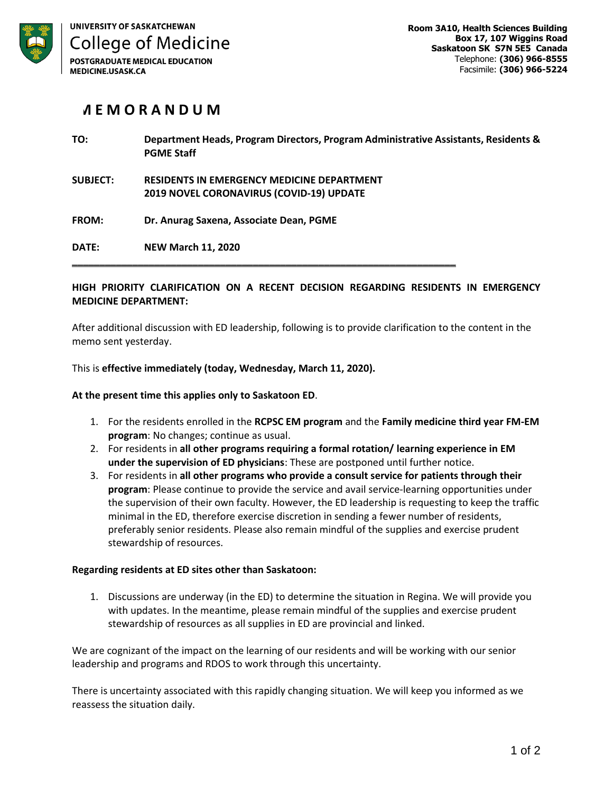

## **M E M O R A N D U M**

| TO:             | Department Heads, Program Directors, Program Administrative Assistants, Residents &<br><b>PGME Staff</b> |
|-----------------|----------------------------------------------------------------------------------------------------------|
| <b>SUBJECT:</b> | <b>RESIDENTS IN EMERGENCY MEDICINE DEPARTMENT</b><br><b>2019 NOVEL CORONAVIRUS (COVID-19) UPDATE</b>     |
| <b>FROM:</b>    | Dr. Anurag Saxena, Associate Dean, PGME                                                                  |
| DATE:           | <b>NEW March 11, 2020</b>                                                                                |

## **HIGH PRIORITY CLARIFICATION ON A RECENT DECISION REGARDING RESIDENTS IN EMERGENCY MEDICINE DEPARTMENT:**

After additional discussion with ED leadership, following is to provide clarification to the content in the memo sent yesterday.

This is **effective immediately (today, Wednesday, March 11, 2020).**

**At the present time this applies only to Saskatoon ED**.

- 1. For the residents enrolled in the **RCPSC EM program** and the **Family medicine third year FM-EM program**: No changes; continue as usual.
- 2. For residents in **all other programs requiring a formal rotation/ learning experience in EM under the supervision of ED physicians**: These are postponed until further notice.
- 3. For residents in **all other programs who provide a consult service for patients through their program**: Please continue to provide the service and avail service-learning opportunities under the supervision of their own faculty. However, the ED leadership is requesting to keep the traffic minimal in the ED, therefore exercise discretion in sending a fewer number of residents, preferably senior residents. Please also remain mindful of the supplies and exercise prudent stewardship of resources.

## **Regarding residents at ED sites other than Saskatoon:**

1. Discussions are underway (in the ED) to determine the situation in Regina. We will provide you with updates. In the meantime, please remain mindful of the supplies and exercise prudent stewardship of resources as all supplies in ED are provincial and linked.

We are cognizant of the impact on the learning of our residents and will be working with our senior leadership and programs and RDOS to work through this uncertainty.

There is uncertainty associated with this rapidly changing situation. We will keep you informed as we reassess the situation daily.